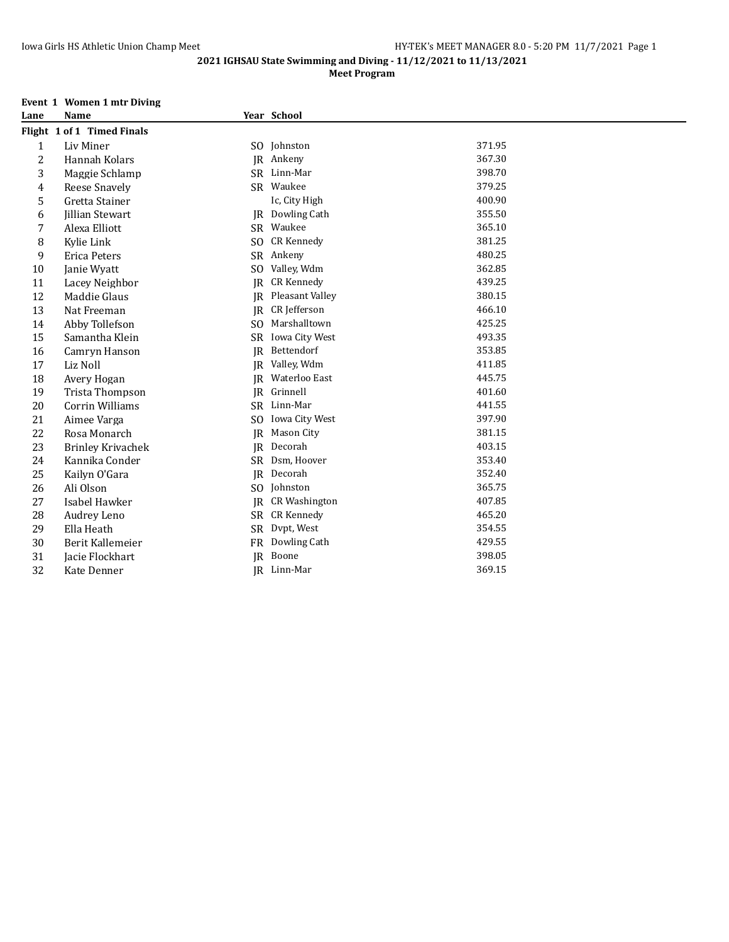# **Meet Program**

# **Event 1 Women 1 mtr Diving<br>Lane** Name

| Lane           | Name                       |           | Year School          |        |
|----------------|----------------------------|-----------|----------------------|--------|
|                | Flight 1 of 1 Timed Finals |           |                      |        |
| 1              | Liv Miner                  |           | SO Johnston          | 371.95 |
| $\overline{c}$ | Hannah Kolars              | IR        | Ankeny               | 367.30 |
| 3              | Maggie Schlamp             | <b>SR</b> | Linn-Mar             | 398.70 |
| 4              | Reese Snavely              |           | SR Waukee            | 379.25 |
| 5              | Gretta Stainer             |           | Ic, City High        | 400.90 |
| 6              | <b>Jillian Stewart</b>     | IR.       | Dowling Cath         | 355.50 |
| $\overline{7}$ | Alexa Elliott              | SR        | Waukee               | 365.10 |
| 8              | Kylie Link                 | SO.       | <b>CR Kennedy</b>    | 381.25 |
| 9              | Erica Peters               | SR        | Ankeny               | 480.25 |
| 10             | Janie Wyatt                | SO.       | Valley, Wdm          | 362.85 |
| 11             | Lacey Neighbor             | <b>IR</b> | <b>CR Kennedy</b>    | 439.25 |
| 12             | Maddie Glaus               | <b>IR</b> | Pleasant Valley      | 380.15 |
| 13             | Nat Freeman                | IR.       | CR Jefferson         | 466.10 |
| 14             | Abby Tollefson             | SO.       | Marshalltown         | 425.25 |
| 15             | Samantha Klein             | SR.       | Iowa City West       | 493.35 |
| 16             | Camryn Hanson              | IR        | Bettendorf           | 353.85 |
| 17             | Liz Noll                   | IR.       | Valley, Wdm          | 411.85 |
| 18             | Avery Hogan                | IR        | Waterloo East        | 445.75 |
| 19             | Trista Thompson            | <b>IR</b> | Grinnell             | 401.60 |
| 20             | <b>Corrin Williams</b>     | SR        | Linn-Mar             | 441.55 |
| 21             | Aimee Varga                | SO.       | Iowa City West       | 397.90 |
| 22             | Rosa Monarch               | <b>IR</b> | Mason City           | 381.15 |
| 23             | <b>Brinley Krivachek</b>   | <b>IR</b> | Decorah              | 403.15 |
| 24             | Kannika Conder             | <b>SR</b> | Dsm, Hoover          | 353.40 |
| 25             | Kailyn O'Gara              | <b>IR</b> | Decorah              | 352.40 |
| 26             | Ali Olson                  | SO.       | Johnston             | 365.75 |
| 27             | Isabel Hawker              | <b>IR</b> | <b>CR Washington</b> | 407.85 |
| 28             | Audrey Leno                | <b>SR</b> | <b>CR Kennedy</b>    | 465.20 |
| 29             | Ella Heath                 | <b>SR</b> | Dvpt, West           | 354.55 |
| 30             | Berit Kallemeier           | <b>FR</b> | Dowling Cath         | 429.55 |
| 31             | Jacie Flockhart            | IR        | Boone                | 398.05 |
| 32             | Kate Denner                |           | JR Linn-Mar          | 369.15 |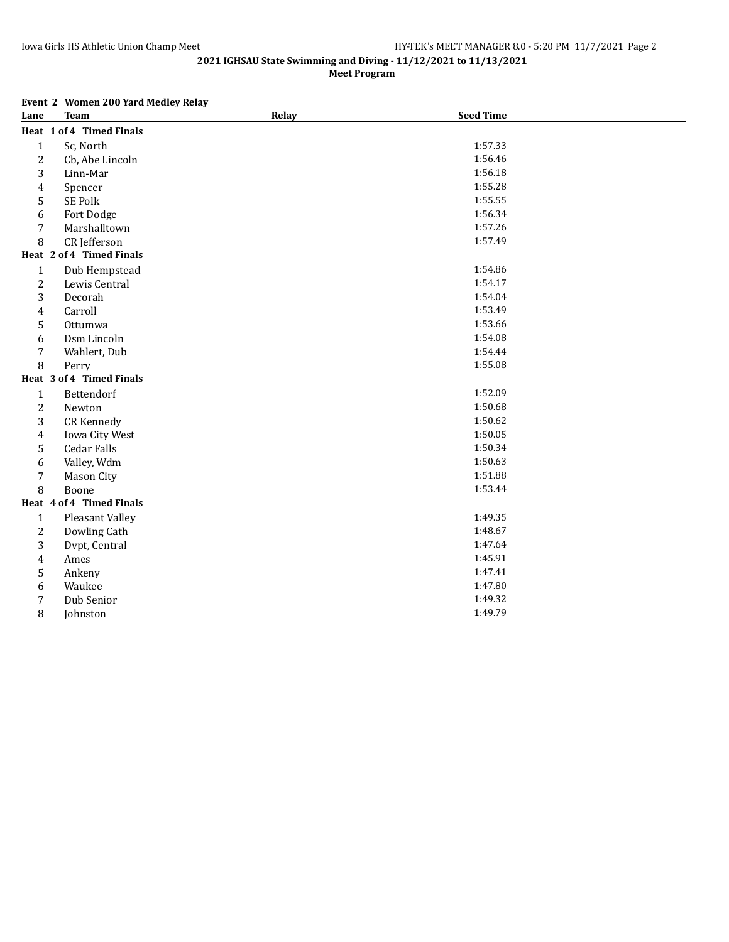**Meet Program**

# **Event 2 Women 200 Yard Medley Relay**

| Lane           | <b>Team</b>              | Relay | <b>Seed Time</b> |  |
|----------------|--------------------------|-------|------------------|--|
|                | Heat 1 of 4 Timed Finals |       |                  |  |
| $\mathbf{1}$   | Sc, North                |       | 1:57.33          |  |
| 2              | Cb, Abe Lincoln          |       | 1:56.46          |  |
| 3              | Linn-Mar                 |       | 1:56.18          |  |
| 4              | Spencer                  |       | 1:55.28          |  |
| 5              | SE Polk                  |       | 1:55.55          |  |
| 6              | Fort Dodge               |       | 1:56.34          |  |
| 7              | Marshalltown             |       | 1:57.26          |  |
| 8              | CR Jefferson             |       | 1:57.49          |  |
|                | Heat 2 of 4 Timed Finals |       |                  |  |
| $\mathbf{1}$   | Dub Hempstead            |       | 1:54.86          |  |
| $\overline{c}$ | Lewis Central            |       | 1:54.17          |  |
| 3              | Decorah                  |       | 1:54.04          |  |
| 4              | Carroll                  |       | 1:53.49          |  |
| 5              | Ottumwa                  |       | 1:53.66          |  |
| 6              | Dsm Lincoln              |       | 1:54.08          |  |
| 7              | Wahlert, Dub             |       | 1:54.44          |  |
| 8              | Perry                    |       | 1:55.08          |  |
|                | Heat 3 of 4 Timed Finals |       |                  |  |
| $\mathbf{1}$   | Bettendorf               |       | 1:52.09          |  |
| 2              | Newton                   |       | 1:50.68          |  |
| 3              | <b>CR Kennedy</b>        |       | 1:50.62          |  |
| 4              | Iowa City West           |       | 1:50.05          |  |
| 5              | Cedar Falls              |       | 1:50.34          |  |
| 6              | Valley, Wdm              |       | 1:50.63          |  |
| 7              | <b>Mason City</b>        |       | 1:51.88          |  |
| 8              | Boone                    |       | 1:53.44          |  |
|                | Heat 4 of 4 Timed Finals |       |                  |  |
| $\mathbf{1}$   | Pleasant Valley          |       | 1:49.35          |  |
| 2              | Dowling Cath             |       | 1:48.67          |  |
| 3              | Dvpt, Central            |       | 1:47.64          |  |
| 4              | Ames                     |       | 1:45.91          |  |
| 5              | Ankeny                   |       | 1:47.41          |  |
| 6              | Waukee                   |       | 1:47.80          |  |
| 7              | Dub Senior               |       | 1:49.32          |  |
| 8              | Johnston                 |       | 1:49.79          |  |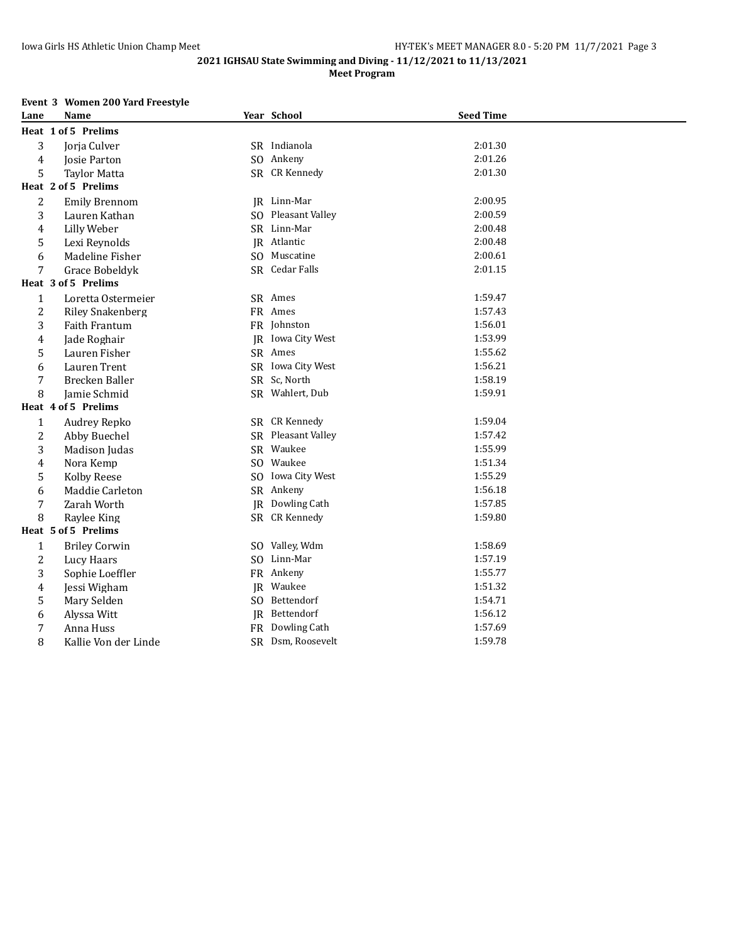**2021 IGHSAU State Swimming and Diving - 11/12/2021 to 11/13/2021 Meet Program**

# **Event 3 Women 200 Yard Freestyle**

| Lane           | Name                    |     | Year School            | <b>Seed Time</b> |  |
|----------------|-------------------------|-----|------------------------|------------------|--|
|                | Heat 1 of 5 Prelims     |     |                        |                  |  |
| 3              | Jorja Culver            |     | SR Indianola           | 2:01.30          |  |
| 4              | Josie Parton            |     | SO Ankeny              | 2:01.26          |  |
| 5              | <b>Tavlor Matta</b>     |     | SR CR Kennedy          | 2:01.30          |  |
|                | Heat 2 of 5 Prelims     |     |                        |                  |  |
| 2              | <b>Emily Brennom</b>    |     | JR Linn-Mar            | 2:00.95          |  |
| 3              | Lauren Kathan           | SO. | <b>Pleasant Valley</b> | 2:00.59          |  |
| 4              | Lilly Weber             |     | SR Linn-Mar            | 2:00.48          |  |
| 5              | Lexi Reynolds           |     | JR Atlantic            | 2:00.48          |  |
| 6              | Madeline Fisher         | SO. | Muscatine              | 2:00.61          |  |
| 7              | Grace Bobeldyk          |     | SR Cedar Falls         | 2:01.15          |  |
|                | Heat 3 of 5 Prelims     |     |                        |                  |  |
| $\mathbf 1$    | Loretta Ostermeier      |     | SR Ames                | 1:59.47          |  |
| $\overline{c}$ | <b>Riley Snakenberg</b> |     | FR Ames                | 1:57.43          |  |
| 3              | Faith Frantum           |     | FR Johnston            | 1:56.01          |  |
| 4              | Jade Roghair            |     | JR Iowa City West      | 1:53.99          |  |
| 5              | Lauren Fisher           |     | SR Ames                | 1:55.62          |  |
| 6              | Lauren Trent            |     | SR Iowa City West      | 1:56.21          |  |
| 7              | Brecken Baller          |     | SR Sc, North           | 1:58.19          |  |
| 8              | Jamie Schmid            |     | SR Wahlert, Dub        | 1:59.91          |  |
|                | Heat 4 of 5 Prelims     |     |                        |                  |  |
| $\mathbf{1}$   | Audrey Repko            |     | SR CR Kennedy          | 1:59.04          |  |
| $\overline{c}$ | Abby Buechel            |     | SR Pleasant Valley     | 1:57.42          |  |
| 3              | Madison Judas           |     | SR Waukee              | 1:55.99          |  |
| 4              | Nora Kemp               |     | SO Waukee              | 1:51.34          |  |
| 5              | Kolby Reese             | SO. | Iowa City West         | 1:55.29          |  |
| 6              | Maddie Carleton         |     | SR Ankeny              | 1:56.18          |  |
| 7              | Zarah Worth             | IR  | Dowling Cath           | 1:57.85          |  |
| 8              | Raylee King             |     | SR CR Kennedy          | 1:59.80          |  |
|                | Heat 5 of 5 Prelims     |     |                        |                  |  |
| $\mathbf{1}$   | <b>Briley Corwin</b>    |     | SO Valley, Wdm         | 1:58.69          |  |
| $\overline{2}$ | Lucy Haars              |     | SO Linn-Mar            | 1:57.19          |  |
| 3              | Sophie Loeffler         |     | FR Ankeny              | 1:55.77          |  |
| 4              | Jessi Wigham            |     | JR Waukee              | 1:51.32          |  |
| 5              | Mary Selden             |     | SO Bettendorf          | 1:54.71          |  |
| 6              | Alyssa Witt             |     | JR Bettendorf          | 1:56.12          |  |
| $\overline{7}$ | Anna Huss               | FR  | Dowling Cath           | 1:57.69          |  |
| 8              | Kallie Von der Linde    |     | SR Dsm, Roosevelt      | 1:59.78          |  |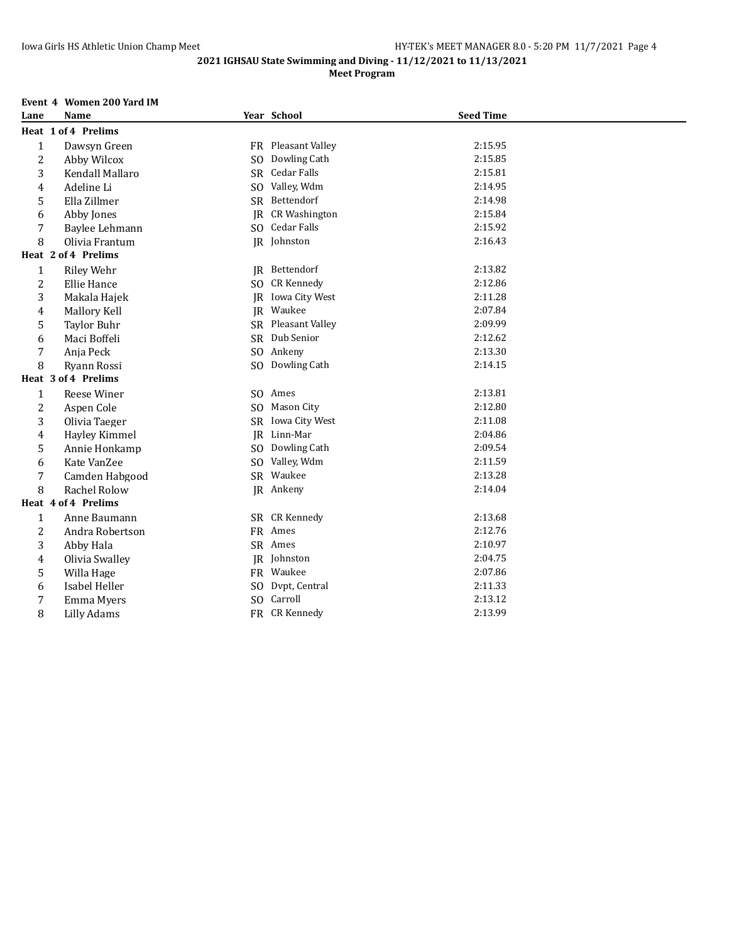# **Meet Program**

# **Event 4 Women 200 Yard IM**

| Lane                    | <b>Name</b>         |                | Year School              | <b>Seed Time</b> |  |
|-------------------------|---------------------|----------------|--------------------------|------------------|--|
|                         | Heat 1 of 4 Prelims |                |                          |                  |  |
| $\mathbf{1}$            | Dawsyn Green        |                | FR Pleasant Valley       | 2:15.95          |  |
| $\overline{2}$          | Abby Wilcox         | S <sub>O</sub> | Dowling Cath             | 2:15.85          |  |
| 3                       | Kendall Mallaro     | <b>SR</b>      | Cedar Falls              | 2:15.81          |  |
| $\overline{4}$          | Adeline Li          | SO.            | Valley, Wdm              | 2:14.95          |  |
| 5                       | Ella Zillmer        |                | SR Bettendorf            | 2:14.98          |  |
| 6                       | Abby Jones          | IR             | <b>CR Washington</b>     | 2:15.84          |  |
| 7                       | Baylee Lehmann      |                | SO Cedar Falls           | 2:15.92          |  |
| 8                       | Olivia Frantum      |                | JR Johnston              | 2:16.43          |  |
|                         | Heat 2 of 4 Prelims |                |                          |                  |  |
| $\mathbf{1}$            | <b>Riley Wehr</b>   |                | JR Bettendorf            | 2:13.82          |  |
| $\overline{c}$          | Ellie Hance         |                | SO CR Kennedy            | 2:12.86          |  |
| 3                       | Makala Hajek        |                | <b>IR</b> Iowa City West | 2:11.28          |  |
| $\overline{\mathbf{4}}$ | Mallory Kell        |                | JR Waukee                | 2:07.84          |  |
| 5                       | <b>Taylor Buhr</b>  |                | SR Pleasant Valley       | 2:09.99          |  |
| 6                       | Maci Boffeli        |                | SR Dub Senior            | 2:12.62          |  |
| 7                       | Anja Peck           |                | SO Ankeny                | 2:13.30          |  |
| 8                       | Ryann Rossi         |                | SO Dowling Cath          | 2:14.15          |  |
|                         | Heat 3 of 4 Prelims |                |                          |                  |  |
| 1                       | Reese Winer         |                | SO Ames                  | 2:13.81          |  |
| $\overline{c}$          | Aspen Cole          | S <sub>O</sub> | Mason City               | 2:12.80          |  |
| 3                       | Olivia Taeger       |                | SR Iowa City West        | 2:11.08          |  |
| $\overline{4}$          | Hayley Kimmel       |                | IR Linn-Mar              | 2:04.86          |  |
| 5                       | Annie Honkamp       | S <sub>O</sub> | Dowling Cath             | 2:09.54          |  |
| 6                       | Kate VanZee         | S <sub>O</sub> | Valley, Wdm              | 2:11.59          |  |
| 7                       | Camden Habgood      |                | SR Waukee                | 2:13.28          |  |
| 8                       | Rachel Rolow        |                | JR Ankeny                | 2:14.04          |  |
|                         | Heat 4 of 4 Prelims |                |                          |                  |  |
| $\mathbf{1}$            | Anne Baumann        |                | SR CR Kennedy            | 2:13.68          |  |
| $\overline{2}$          | Andra Robertson     |                | FR Ames                  | 2:12.76          |  |
| 3                       | Abby Hala           |                | SR Ames                  | 2:10.97          |  |
| $\overline{4}$          | Olivia Swalley      |                | JR Johnston              | 2:04.75          |  |
| 5                       | Willa Hage          |                | FR Waukee                | 2:07.86          |  |
| 6                       | Isabel Heller       | S <sub>O</sub> | Dvpt, Central            | 2:11.33          |  |
| 7                       | Emma Myers          | S <sub>O</sub> | Carroll                  | 2:13.12          |  |
| 8                       | Lilly Adams         |                | FR CR Kennedy            | 2:13.99          |  |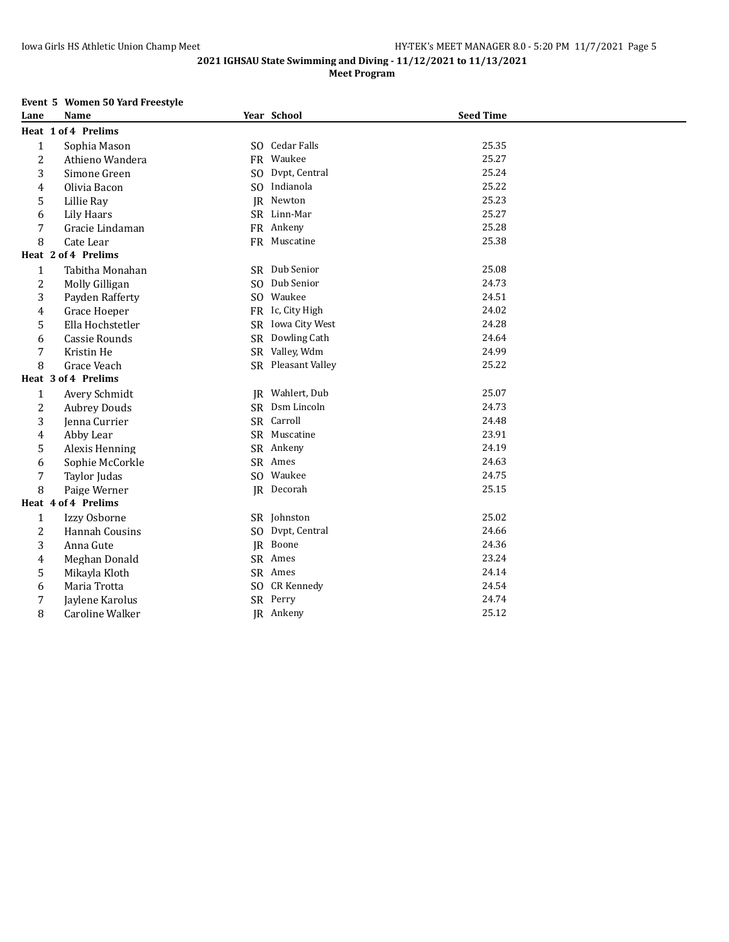# **Meet Program**

# **Event 5 Women 50 Yard Freestyle**

| Lane           | Name                  |     | Year School        | <b>Seed Time</b> |  |
|----------------|-----------------------|-----|--------------------|------------------|--|
|                | Heat 1 of 4 Prelims   |     |                    |                  |  |
| $\mathbf{1}$   | Sophia Mason          |     | SO Cedar Falls     | 25.35            |  |
| 2              | Athieno Wandera       |     | FR Waukee          | 25.27            |  |
| 3              | Simone Green          | SO. | Dvpt, Central      | 25.24            |  |
| 4              | Olivia Bacon          |     | SO Indianola       | 25.22            |  |
| 5              | Lillie Ray            |     | JR Newton          | 25.23            |  |
| 6              | Lily Haars            |     | SR Linn-Mar        | 25.27            |  |
| 7              | Gracie Lindaman       |     | FR Ankeny          | 25.28            |  |
| 8              | Cate Lear             |     | FR Muscatine       | 25.38            |  |
|                | Heat 2 of 4 Prelims   |     |                    |                  |  |
| $\mathbf{1}$   | Tabitha Monahan       |     | SR Dub Senior      | 25.08            |  |
| 2              | Molly Gilligan        |     | SO Dub Senior      | 24.73            |  |
| 3              | Payden Rafferty       |     | SO Waukee          | 24.51            |  |
| 4              | Grace Hoeper          |     | FR Ic, City High   | 24.02            |  |
| 5              | Ella Hochstetler      |     | SR Iowa City West  | 24.28            |  |
| 6              | Cassie Rounds         |     | SR Dowling Cath    | 24.64            |  |
| 7              | Kristin He            |     | SR Valley, Wdm     | 24.99            |  |
| 8              | Grace Veach           |     | SR Pleasant Valley | 25.22            |  |
|                | Heat 3 of 4 Prelims   |     |                    |                  |  |
| $1\,$          | Avery Schmidt         |     | JR Wahlert, Dub    | 25.07            |  |
| $\overline{c}$ | <b>Aubrey Douds</b>   |     | SR Dsm Lincoln     | 24.73            |  |
| 3              | Jenna Currier         |     | SR Carroll         | 24.48            |  |
| 4              | Abby Lear             |     | SR Muscatine       | 23.91            |  |
| 5              | Alexis Henning        |     | SR Ankeny          | 24.19            |  |
| 6              | Sophie McCorkle       |     | SR Ames            | 24.63            |  |
| 7              | Taylor Judas          |     | SO Waukee          | 24.75            |  |
| 8              | Paige Werner          |     | IR Decorah         | 25.15            |  |
|                | Heat 4 of 4 Prelims   |     |                    |                  |  |
| $\mathbf{1}$   | Izzy Osborne          |     | SR Johnston        | 25.02            |  |
| $\overline{c}$ | <b>Hannah Cousins</b> |     | SO Dvpt, Central   | 24.66            |  |
| 3              | Anna Gute             |     | JR Boone           | 24.36            |  |
| $\pmb{4}$      | Meghan Donald         |     | SR Ames            | 23.24            |  |
| 5              | Mikayla Kloth         |     | SR Ames            | 24.14            |  |
| 6              | Maria Trotta          |     | SO CR Kennedy      | 24.54            |  |
| 7              | Jaylene Karolus       |     | SR Perry           | 24.74            |  |
| 8              | Caroline Walker       |     | JR Ankeny          | 25.12            |  |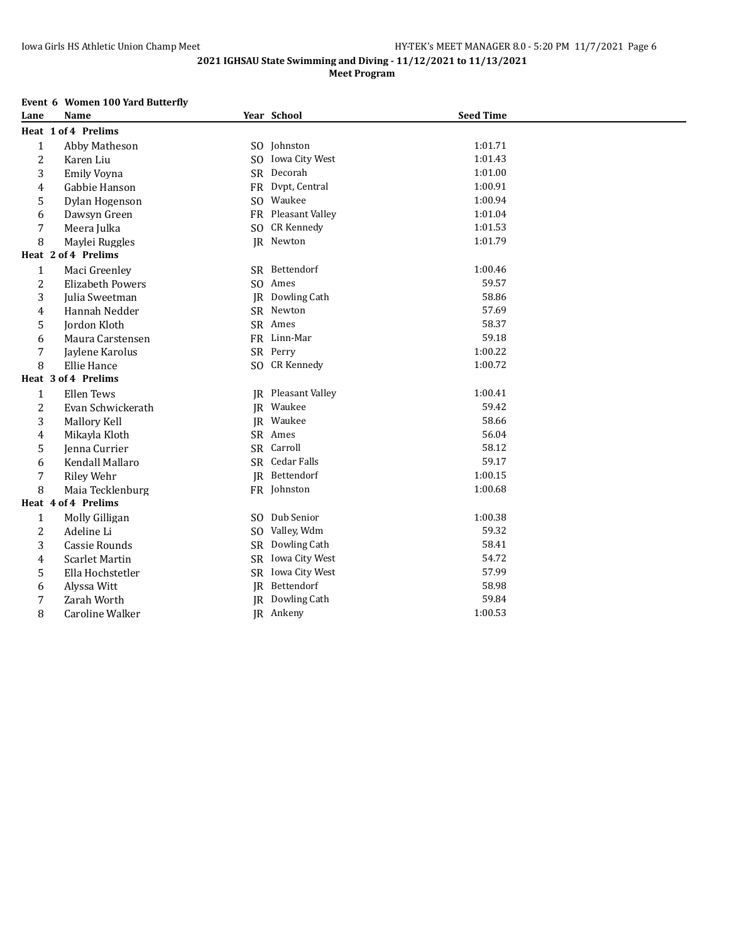# **Meet Program**

# **Event 6 Women 100 Yard Butterfly**

| Lane           | <b>Name</b>             |                | Year School               | <b>Seed Time</b> |  |
|----------------|-------------------------|----------------|---------------------------|------------------|--|
|                | Heat 1 of 4 Prelims     |                |                           |                  |  |
| $\mathbf{1}$   | Abby Matheson           |                | SO Johnston               | 1:01.71          |  |
| 2              | Karen Liu               | SO.            | Iowa City West            | 1:01.43          |  |
| 3              | <b>Emily Voyna</b>      |                | SR Decorah                | 1:01.00          |  |
| 4              | Gabbie Hanson           |                | FR Dvpt, Central          | 1:00.91          |  |
| 5              | Dylan Hogenson          | SO.            | Waukee                    | 1:00.94          |  |
| 6              | Dawsyn Green            |                | FR Pleasant Valley        | 1:01.04          |  |
| 7              | Meera Julka             |                | SO CR Kennedy             | 1:01.53          |  |
| 8              | Maylei Ruggles          |                | JR Newton                 | 1:01.79          |  |
|                | Heat 2 of 4 Prelims     |                |                           |                  |  |
| $\mathbf{1}$   | Maci Greenley           |                | SR Bettendorf             | 1:00.46          |  |
| 2              | <b>Elizabeth Powers</b> | SO.            | Ames                      | 59.57            |  |
| 3              | Julia Sweetman          |                | IR Dowling Cath           | 58.86            |  |
| 4              | Hannah Nedder           |                | SR Newton                 | 57.69            |  |
| 5              | <b>Jordon Kloth</b>     |                | SR Ames                   | 58.37            |  |
| 6              | Maura Carstensen        |                | FR Linn-Mar               | 59.18            |  |
| 7              | Jaylene Karolus         |                | SR Perry                  | 1:00.22          |  |
| 8              | Ellie Hance             |                | SO CR Kennedy             | 1:00.72          |  |
|                | Heat 3 of 4 Prelims     |                |                           |                  |  |
| $\mathbf{1}$   | Ellen Tews              |                | <b>IR</b> Pleasant Valley | 1:00.41          |  |
| $\overline{c}$ | Evan Schwickerath       |                | JR Waukee                 | 59.42            |  |
| 3              | Mallory Kell            |                | JR Waukee                 | 58.66            |  |
| 4              | Mikayla Kloth           |                | SR Ames                   | 56.04            |  |
| 5              | Jenna Currier           |                | SR Carroll                | 58.12            |  |
| 6              | Kendall Mallaro         |                | SR Cedar Falls            | 59.17            |  |
| 7              | Riley Wehr              |                | JR Bettendorf             | 1:00.15          |  |
| 8              | Maia Tecklenburg        |                | FR Johnston               | 1:00.68          |  |
|                | Heat 4 of 4 Prelims     |                |                           |                  |  |
| $\mathbf{1}$   | Molly Gilligan          | SO.            | Dub Senior                | 1:00.38          |  |
| 2              | Adeline Li              | S <sub>O</sub> | Valley, Wdm               | 59.32            |  |
| 3              | Cassie Rounds           |                | SR Dowling Cath           | 58.41            |  |
| 4              | <b>Scarlet Martin</b>   | SR             | Iowa City West            | 54.72            |  |
| 5              | Ella Hochstetler        |                | SR Iowa City West         | 57.99            |  |
| 6              | Alyssa Witt             |                | JR Bettendorf             | 58.98            |  |
| 7              | Zarah Worth             |                | <b>IR</b> Dowling Cath    | 59.84            |  |
| 8              | Caroline Walker         |                | JR Ankeny                 | 1:00.53          |  |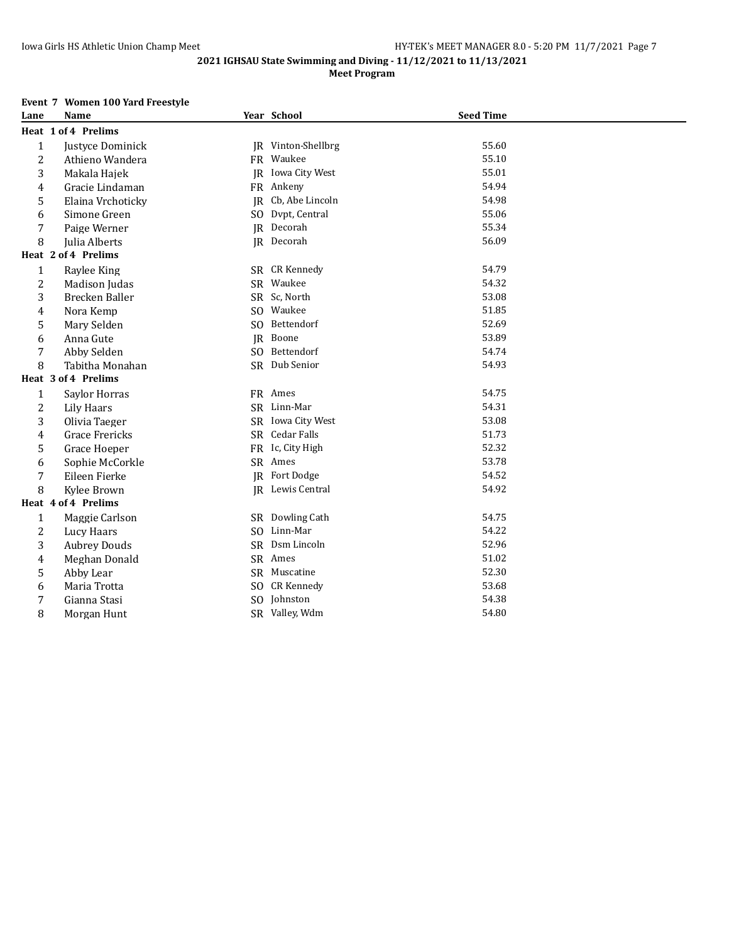# **Meet Program**

# **Event 7 Women 100 Yard Freestyle**

| Lane           | Name                 |              | Year School        | <b>Seed Time</b> |  |
|----------------|----------------------|--------------|--------------------|------------------|--|
|                | Heat 1 of 4 Prelims  |              |                    |                  |  |
| $\mathbf{1}$   | Justyce Dominick     |              | JR Vinton-Shellbrg | 55.60            |  |
| $\overline{c}$ | Athieno Wandera      |              | FR Waukee          | 55.10            |  |
| 3              | Makala Hajek         |              | IR Iowa City West  | 55.01            |  |
| 4              | Gracie Lindaman      |              | FR Ankeny          | 54.94            |  |
| 5              | Elaina Vrchoticky    |              | JR Cb, Abe Lincoln | 54.98            |  |
| 6              | Simone Green         |              | SO Dvpt, Central   | 55.06            |  |
| 7              | Paige Werner         |              | JR Decorah         | 55.34            |  |
| 8              | <b>Iulia Alberts</b> |              | JR Decorah         | 56.09            |  |
|                | Heat 2 of 4 Prelims  |              |                    |                  |  |
| $\mathbf{1}$   | Raylee King          |              | SR CR Kennedy      | 54.79            |  |
| 2              | Madison Judas        |              | SR Waukee          | 54.32            |  |
| 3              | Brecken Baller       |              | SR Sc, North       | 53.08            |  |
| 4              | Nora Kemp            |              | SO Waukee          | 51.85            |  |
| 5              | Mary Selden          | $SO_{\odot}$ | Bettendorf         | 52.69            |  |
| 6              | Anna Gute            |              | JR Boone           | 53.89            |  |
| 7              | Abby Selden          |              | SO Bettendorf      | 54.74            |  |
| 8              | Tabitha Monahan      |              | SR Dub Senior      | 54.93            |  |
|                | Heat 3 of 4 Prelims  |              |                    |                  |  |
| $1\,$          | Saylor Horras        |              | FR Ames            | 54.75            |  |
| 2              | <b>Lily Haars</b>    |              | SR Linn-Mar        | 54.31            |  |
| 3              | Olivia Taeger        |              | SR Iowa City West  | 53.08            |  |
| 4              | Grace Frericks       |              | SR Cedar Falls     | 51.73            |  |
| 5              | Grace Hoeper         |              | FR Ic, City High   | 52.32            |  |
| 6              | Sophie McCorkle      |              | SR Ames            | 53.78            |  |
| 7              | Eileen Fierke        |              | JR Fort Dodge      | 54.52            |  |
| 8              | Kylee Brown          |              | IR Lewis Central   | 54.92            |  |
|                | Heat 4 of 4 Prelims  |              |                    |                  |  |
| $\mathbf{1}$   | Maggie Carlson       |              | SR Dowling Cath    | 54.75            |  |
| $\overline{c}$ | Lucy Haars           |              | SO Linn-Mar        | 54.22            |  |
| 3              | <b>Aubrey Douds</b>  |              | SR Dsm Lincoln     | 52.96            |  |
| 4              | Meghan Donald        |              | SR Ames            | 51.02            |  |
| 5              | Abby Lear            |              | SR Muscatine       | 52.30            |  |
| 6              | Maria Trotta         | SO.          | CR Kennedy         | 53.68            |  |
| 7              | Gianna Stasi         |              | SO Johnston        | 54.38            |  |
| 8              | Morgan Hunt          |              | SR Valley, Wdm     | 54.80            |  |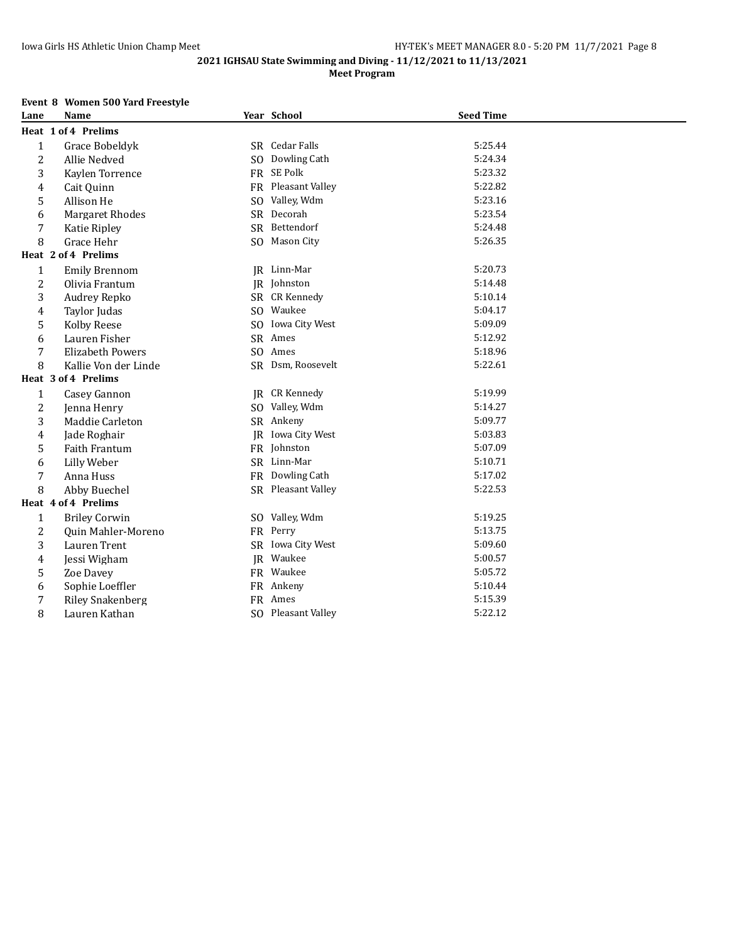# **Meet Program**

# **Event 8 Women 500 Yard Freestyle**

| Lane             | <b>Name</b>             | Year School          | <b>Seed Time</b> |  |
|------------------|-------------------------|----------------------|------------------|--|
|                  | Heat 1 of 4 Prelims     |                      |                  |  |
| $\mathbf{1}$     | Grace Bobeldyk          | SR Cedar Falls       | 5:25.44          |  |
| $\boldsymbol{2}$ | Allie Nedved            | SO Dowling Cath      | 5:24.34          |  |
| 3                | Kaylen Torrence         | FR SE Polk           | 5:23.32          |  |
| 4                | Cait Quinn              | FR Pleasant Valley   | 5:22.82          |  |
| 5                | Allison He              | SO Valley, Wdm       | 5:23.16          |  |
| 6                | <b>Margaret Rhodes</b>  | SR Decorah           | 5:23.54          |  |
| 7                | Katie Ripley            | SR Bettendorf        | 5:24.48          |  |
| 8                | Grace Hehr              | SO Mason City        | 5:26.35          |  |
|                  | Heat 2 of 4 Prelims     |                      |                  |  |
| $\mathbf{1}$     | <b>Emily Brennom</b>    | JR Linn-Mar          | 5:20.73          |  |
| $\overline{2}$   | Olivia Frantum          | IR Johnston          | 5:14.48          |  |
| 3                | Audrey Repko            | SR CR Kennedy        | 5:10.14          |  |
| 4                | Taylor Judas            | SO Waukee            | 5:04.17          |  |
| 5                | Kolby Reese             | SO Iowa City West    | 5:09.09          |  |
| 6                | Lauren Fisher           | SR Ames              | 5:12.92          |  |
| 7                | <b>Elizabeth Powers</b> | SO Ames              | 5:18.96          |  |
| 8                | Kallie Von der Linde    | SR Dsm, Roosevelt    | 5:22.61          |  |
|                  | Heat 3 of 4 Prelims     |                      |                  |  |
| $\mathbf{1}$     | Casey Gannon            | <b>JR</b> CR Kennedy | 5:19.99          |  |
| $\overline{2}$   | Jenna Henry             | SO Valley, Wdm       | 5:14.27          |  |
| 3                | Maddie Carleton         | SR Ankeny            | 5:09.77          |  |
| 4                | Jade Roghair            | JR Iowa City West    | 5:03.83          |  |
| 5                | Faith Frantum           | FR Johnston          | 5:07.09          |  |
| 6                | Lilly Weber             | SR Linn-Mar          | 5:10.71          |  |
| 7                | Anna Huss               | FR Dowling Cath      | 5:17.02          |  |
| 8                | Abby Buechel            | SR Pleasant Valley   | 5:22.53          |  |
|                  | Heat 4 of 4 Prelims     |                      |                  |  |
| $\mathbf 1$      | <b>Briley Corwin</b>    | SO Valley, Wdm       | 5:19.25          |  |
| $\overline{c}$   | Quin Mahler-Moreno      | FR Perry             | 5:13.75          |  |
| 3                | Lauren Trent            | SR Iowa City West    | 5:09.60          |  |
| 4                | Jessi Wigham            | JR Waukee            | 5:00.57          |  |
| 5                | Zoe Davey               | FR Waukee            | 5:05.72          |  |
| 6                | Sophie Loeffler         | FR Ankeny            | 5:10.44          |  |
| 7                | <b>Riley Snakenberg</b> | FR Ames              | 5:15.39          |  |
| 8                | Lauren Kathan           | SO Pleasant Valley   | 5:22.12          |  |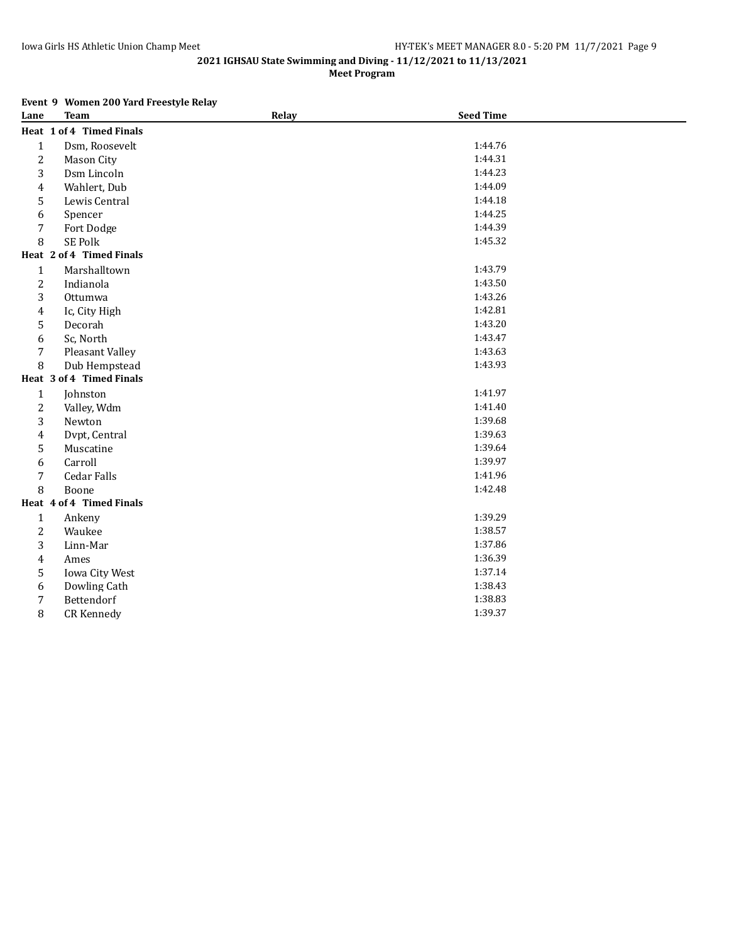**Meet Program**

# **Event 9 Women 200 Yard Freestyle Relay**

| Lane           | <b>Team</b>              | Relay | <b>Seed Time</b> |  |
|----------------|--------------------------|-------|------------------|--|
|                | Heat 1 of 4 Timed Finals |       |                  |  |
| $\mathbf{1}$   | Dsm, Roosevelt           |       | 1:44.76          |  |
| $\overline{c}$ | Mason City               |       | 1:44.31          |  |
| 3              | Dsm Lincoln              |       | 1:44.23          |  |
| 4              | Wahlert, Dub             |       | 1:44.09          |  |
| 5              | Lewis Central            |       | 1:44.18          |  |
| 6              | Spencer                  |       | 1:44.25          |  |
| 7              | Fort Dodge               |       | 1:44.39          |  |
| 8              | SE Polk                  |       | 1:45.32          |  |
|                | Heat 2 of 4 Timed Finals |       |                  |  |
| $\mathbf{1}$   | Marshalltown             |       | 1:43.79          |  |
| $\overline{c}$ | Indianola                |       | 1:43.50          |  |
| 3              | Ottumwa                  |       | 1:43.26          |  |
| $\overline{4}$ | Ic, City High            |       | 1:42.81          |  |
| 5              | Decorah                  |       | 1:43.20          |  |
| 6              | Sc, North                |       | 1:43.47          |  |
| 7              | Pleasant Valley          |       | 1:43.63          |  |
| 8              | Dub Hempstead            |       | 1:43.93          |  |
|                | Heat 3 of 4 Timed Finals |       |                  |  |
| $\mathbf{1}$   | Johnston                 |       | 1:41.97          |  |
| $\overline{c}$ | Valley, Wdm              |       | 1:41.40          |  |
| 3              | Newton                   |       | 1:39.68          |  |
| $\overline{4}$ | Dvpt, Central            |       | 1:39.63          |  |
| 5              | Muscatine                |       | 1:39.64          |  |
| 6              | Carroll                  |       | 1:39.97          |  |
| $\overline{7}$ | <b>Cedar Falls</b>       |       | 1:41.96          |  |
| 8              | Boone                    |       | 1:42.48          |  |
|                | Heat 4 of 4 Timed Finals |       |                  |  |
| $\mathbf{1}$   | Ankeny                   |       | 1:39.29          |  |
| $\overline{c}$ | Waukee                   |       | 1:38.57          |  |
| 3              | Linn-Mar                 |       | 1:37.86          |  |
| $\overline{4}$ | Ames                     |       | 1:36.39          |  |
| 5              | Iowa City West           |       | 1:37.14          |  |
| 6              | Dowling Cath             |       | 1:38.43          |  |
| 7              | Bettendorf               |       | 1:38.83          |  |
| 8              | CR Kennedy               |       | 1:39.37          |  |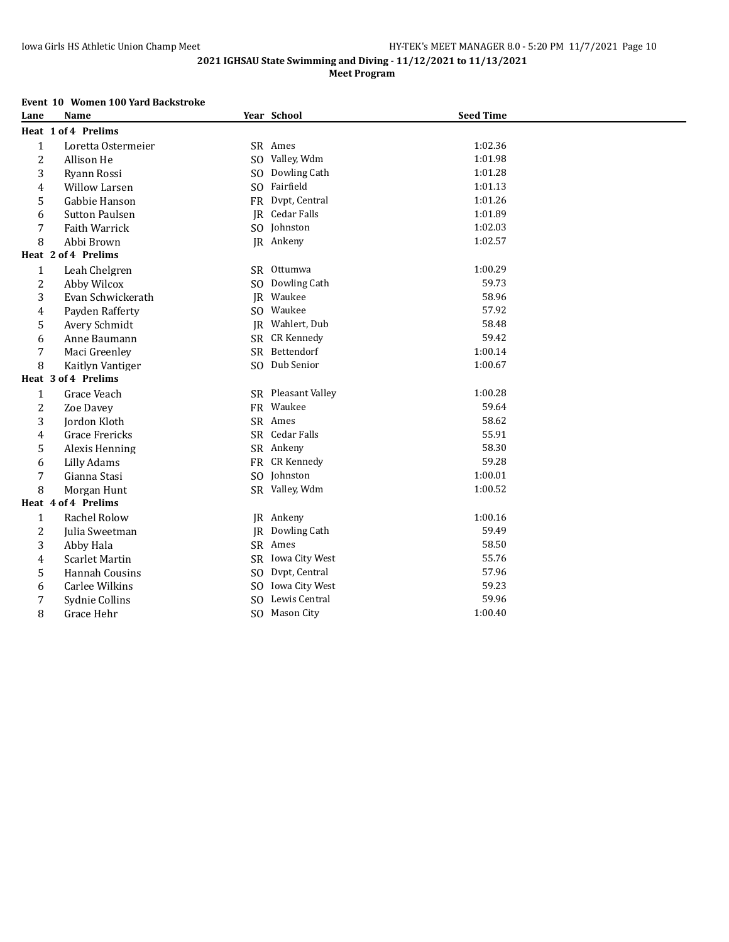# **Meet Program**

#### **Event 10 Women 100 Yard Backstroke**

| Lane           | Name                  |                | Year School           | <b>Seed Time</b> |  |
|----------------|-----------------------|----------------|-----------------------|------------------|--|
|                | Heat 1 of 4 Prelims   |                |                       |                  |  |
| $\mathbf{1}$   | Loretta Ostermeier    |                | SR Ames               | 1:02.36          |  |
| $\overline{c}$ | Allison He            |                | SO Valley, Wdm        | 1:01.98          |  |
| 3              | Rvann Rossi           | S <sub>O</sub> | Dowling Cath          | 1:01.28          |  |
| 4              | <b>Willow Larsen</b>  |                | SO Fairfield          | 1:01.13          |  |
| 5              | Gabbie Hanson         |                | FR Dvpt, Central      | 1:01.26          |  |
| 6              | <b>Sutton Paulsen</b> |                | <b>IR</b> Cedar Falls | 1:01.89          |  |
| 7              | Faith Warrick         |                | SO Johnston           | 1:02.03          |  |
| 8              | Abbi Brown            |                | JR Ankeny             | 1:02.57          |  |
|                | Heat 2 of 4 Prelims   |                |                       |                  |  |
| $\mathbf{1}$   | Leah Chelgren         |                | SR Ottumwa            | 1:00.29          |  |
| $\overline{2}$ | Abby Wilcox           | SO.            | Dowling Cath          | 59.73            |  |
| 3              | Evan Schwickerath     |                | JR Waukee             | 58.96            |  |
| 4              | Payden Rafferty       |                | SO Waukee             | 57.92            |  |
| 5              | Avery Schmidt         |                | JR Wahlert, Dub       | 58.48            |  |
| 6              | Anne Baumann          |                | SR CR Kennedy         | 59.42            |  |
| 7              | Maci Greenley         |                | SR Bettendorf         | 1:00.14          |  |
| 8              | Kaitlyn Vantiger      |                | SO Dub Senior         | 1:00.67          |  |
|                | Heat 3 of 4 Prelims   |                |                       |                  |  |
| $\mathbf{1}$   | Grace Veach           |                | SR Pleasant Valley    | 1:00.28          |  |
| $\overline{c}$ | Zoe Davey             |                | FR Waukee             | 59.64            |  |
| 3              | Jordon Kloth          |                | SR Ames               | 58.62            |  |
| 4              | Grace Frericks        |                | SR Cedar Falls        | 55.91            |  |
| 5              | Alexis Henning        |                | SR Ankeny             | 58.30            |  |
| 6              | <b>Lilly Adams</b>    |                | FR CR Kennedy         | 59.28            |  |
| 7              | Gianna Stasi          |                | SO Johnston           | 1:00.01          |  |
| 8              | Morgan Hunt           |                | SR Valley, Wdm        | 1:00.52          |  |
|                | Heat 4 of 4 Prelims   |                |                       |                  |  |
| $\mathbf{1}$   | Rachel Rolow          |                | JR Ankeny             | 1:00.16          |  |
| $\overline{c}$ | Julia Sweetman        |                | JR Dowling Cath       | 59.49            |  |
| 3              | Abby Hala             |                | SR Ames               | 58.50            |  |
| 4              | <b>Scarlet Martin</b> |                | SR Iowa City West     | 55.76            |  |
| 5              | Hannah Cousins        | SO.            | Dvpt, Central         | 57.96            |  |
| 6              | Carlee Wilkins        | SO.            | Iowa City West        | 59.23            |  |
| 7              | Sydnie Collins        | SO.            | Lewis Central         | 59.96            |  |
| 8              | Grace Hehr            |                | SO Mason City         | 1:00.40          |  |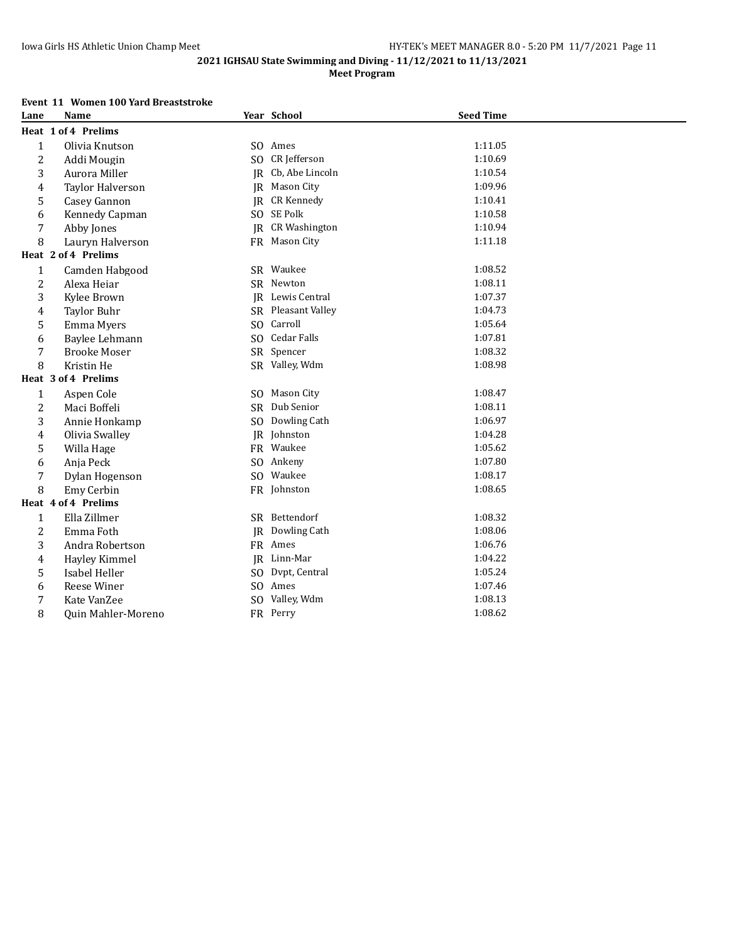# **Meet Program**

# **Event 11 Women 100 Yard Breaststroke**

| Lane             | <b>Name</b>         |                | Year School             | <b>Seed Time</b> |  |
|------------------|---------------------|----------------|-------------------------|------------------|--|
|                  | Heat 1 of 4 Prelims |                |                         |                  |  |
| $\mathbf{1}$     | Olivia Knutson      |                | SO Ames                 | 1:11.05          |  |
| $\overline{c}$   | Addi Mougin         |                | SO CR Jefferson         | 1:10.69          |  |
| 3                | Aurora Miller       |                | JR Cb, Abe Lincoln      | 1:10.54          |  |
| $\overline{4}$   | Taylor Halverson    |                | JR Mason City           | 1:09.96          |  |
| 5                | Casey Gannon        |                | JR CR Kennedy           | 1:10.41          |  |
| 6                | Kennedy Capman      |                | SO SE Polk              | 1:10.58          |  |
| 7                | Abby Jones          |                | <b>IR</b> CR Washington | 1:10.94          |  |
| 8                | Lauryn Halverson    |                | FR Mason City           | 1:11.18          |  |
|                  | Heat 2 of 4 Prelims |                |                         |                  |  |
| $\mathbf{1}$     | Camden Habgood      |                | SR Waukee               | 1:08.52          |  |
| $\overline{c}$   | Alexa Heiar         |                | SR Newton               | 1:08.11          |  |
| 3                | Kylee Brown         |                | <b>IR</b> Lewis Central | 1:07.37          |  |
| $\overline{4}$   | <b>Taylor Buhr</b>  |                | SR Pleasant Valley      | 1:04.73          |  |
| 5                | Emma Myers          | S <sub>O</sub> | Carroll                 | 1:05.64          |  |
| 6                | Baylee Lehmann      |                | SO Cedar Falls          | 1:07.81          |  |
| 7                | <b>Brooke Moser</b> |                | SR Spencer              | 1:08.32          |  |
| 8                | Kristin He          |                | SR Valley, Wdm          | 1:08.98          |  |
|                  | Heat 3 of 4 Prelims |                |                         |                  |  |
| $\mathbf{1}$     | Aspen Cole          |                | SO Mason City           | 1:08.47          |  |
| $\overline{c}$   | Maci Boffeli        |                | SR Dub Senior           | 1:08.11          |  |
| 3                | Annie Honkamp       |                | SO Dowling Cath         | 1:06.97          |  |
| 4                | Olivia Swalley      |                | JR Johnston             | 1:04.28          |  |
| 5                | Willa Hage          |                | FR Waukee               | 1:05.62          |  |
| 6                | Anja Peck           |                | SO Ankeny               | 1:07.80          |  |
| 7                | Dylan Hogenson      |                | SO Waukee               | 1:08.17          |  |
| 8                | Emy Cerbin          |                | FR Johnston             | 1:08.65          |  |
|                  | Heat 4 of 4 Prelims |                |                         |                  |  |
| $\mathbf{1}$     | Ella Zillmer        |                | SR Bettendorf           | 1:08.32          |  |
| $\sqrt{2}$       | Emma Foth           |                | <b>JR</b> Dowling Cath  | 1:08.06          |  |
| 3                | Andra Robertson     |                | FR Ames                 | 1:06.76          |  |
| $\pmb{4}$        | Hayley Kimmel       |                | JR Linn-Mar             | 1:04.22          |  |
| 5                | Isabel Heller       |                | SO Dvpt, Central        | 1:05.24          |  |
| 6                | Reese Winer         |                | SO Ames                 | 1:07.46          |  |
| $\boldsymbol{7}$ | Kate VanZee         |                | SO Valley, Wdm          | 1:08.13          |  |
| 8                | Quin Mahler-Moreno  |                | FR Perry                | 1:08.62          |  |